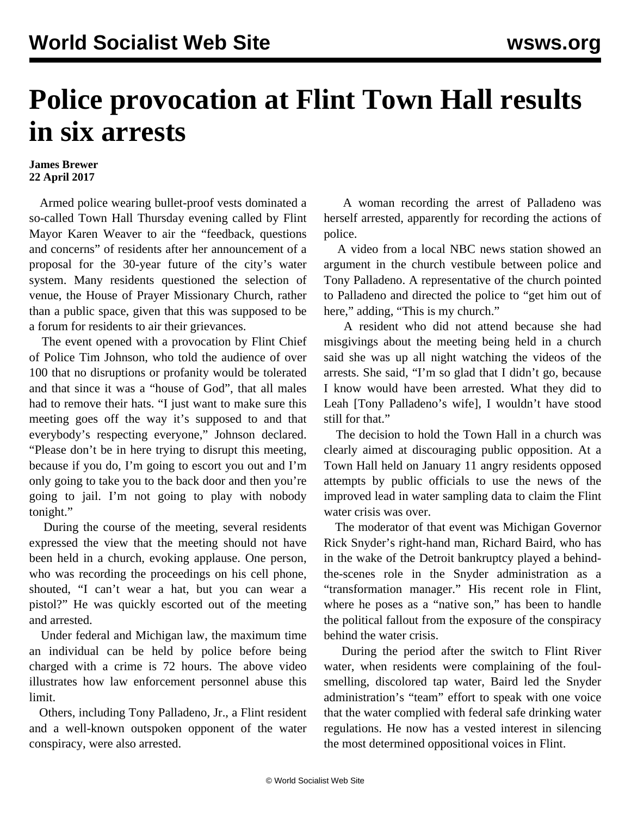## **Police provocation at Flint Town Hall results in six arrests**

## **James Brewer 22 April 2017**

 Armed police wearing bullet-proof vests dominated a so-called Town Hall Thursday evening called by Flint Mayor Karen Weaver to air the "feedback, questions and concerns" of residents after her [announcement](/en/articles/2017/04/20/flin-a20.html) of a proposal for the 30-year future of the city's water system. Many residents questioned the selection of venue, the House of Prayer Missionary Church, rather than a public space, given that this was supposed to be a forum for residents to air their grievances.

 The event opened with a provocation by Flint Chief of Police Tim Johnson, who told the audience of over 100 that no disruptions or profanity would be tolerated and that since it was a "house of God", that all males had to remove their hats. "I just want to make sure this meeting goes off the way it's supposed to and that everybody's respecting everyone," Johnson declared. "Please don't be in here trying to disrupt this meeting, because if you do, I'm going to escort you out and I'm only going to take you to the back door and then you're going to jail. I'm not going to play with nobody tonight."

 During the course of the meeting, several residents expressed the view that the meeting should not have been held in a church, evoking applause. One person, who was recording the proceedings on his cell phone, shouted, "I can't wear a hat, but you can wear a pistol?" He was quickly escorted out of the meeting and arrested.

 Under federal and Michigan law, the maximum time an individual can be held by police before being charged with a crime is 72 hours. The above video illustrates how law enforcement personnel abuse this limit.

 Others, including Tony Palladeno, Jr., a Flint resident and a well-known outspoken opponent of the water conspiracy, were also arrested.

 A woman recording the arrest of Palladeno was herself arrested, apparently for recording the actions of police.

 A video from a local NBC news station showed an argument in the church vestibule between police and Tony Palladeno. A representative of the church pointed to Palladeno and directed the police to "get him out of here," adding, "This is my church."

 A resident who did not attend because she had misgivings about the meeting being held in a church said she was up all night watching the videos of the arrests. She said, "I'm so glad that I didn't go, because I know would have been arrested. What they did to Leah [Tony Palladeno's wife], I wouldn't have stood still for that."

 The decision to hold the Town Hall in a church was clearly aimed at discouraging public opposition. At a Town Hall held on January 11 angry residents opposed attempts by public officials to use the news of the improved lead in water sampling data to claim the Flint water crisis was over.

 The moderator of that event was Michigan Governor Rick Snyder's right-hand man, Richard Baird, who has in the wake of the Detroit bankruptcy played a behindthe-scenes role in the Snyder administration as a "transformation manager." His recent role in Flint, where he poses as a "native son," has been to handle the political fallout from the exposure of the conspiracy behind the water crisis.

 During the period after the switch to Flint River water, when residents were complaining of the foulsmelling, discolored tap water, Baird led the Snyder administration's "team" effort to speak with one voice that the water complied with federal safe drinking water regulations. He now has a vested interest in silencing the most determined oppositional voices in Flint.